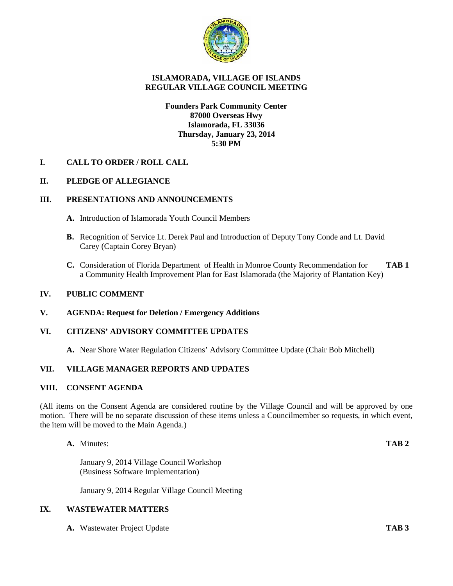

# **ISLAMORADA, VILLAGE OF ISLANDS REGULAR VILLAGE COUNCIL MEETING**

## **Founders Park Community Center 87000 Overseas Hwy Islamorada, FL 33036 Thursday, January 23, 2014 5:30 PM**

### **I. CALL TO ORDER / ROLL CALL**

# **II. PLEDGE OF ALLEGIANCE**

### **III. PRESENTATIONS AND ANNOUNCEMENTS**

- **A.** Introduction of Islamorada Youth Council Members
- **B.** Recognition of Service Lt. Derek Paul and Introduction of Deputy Tony Conde and Lt. David Carey (Captain Corey Bryan)
- **C.** Consideration of Florida Department of Health in Monroe County Recommendation for **TAB 1** a Community Health Improvement Plan for East Islamorada (the Majority of Plantation Key)

#### **IV. PUBLIC COMMENT**

#### **V. AGENDA: Request for Deletion / Emergency Additions**

# **VI. CITIZENS' ADVISORY COMMITTEE UPDATES**

**A.** Near Shore Water Regulation Citizens' Advisory Committee Update (Chair Bob Mitchell)

### **VII. VILLAGE MANAGER REPORTS AND UPDATES**

#### **VIII. CONSENT AGENDA**

(All items on the Consent Agenda are considered routine by the Village Council and will be approved by one motion. There will be no separate discussion of these items unless a Councilmember so requests, in which event, the item will be moved to the Main Agenda.)

**A.** Minutes: **TAB 2**

January 9, 2014 Village Council Workshop (Business Software Implementation)

January 9, 2014 Regular Village Council Meeting

## **IX. WASTEWATER MATTERS**

**A.** Wastewater Project Update **TAB 3**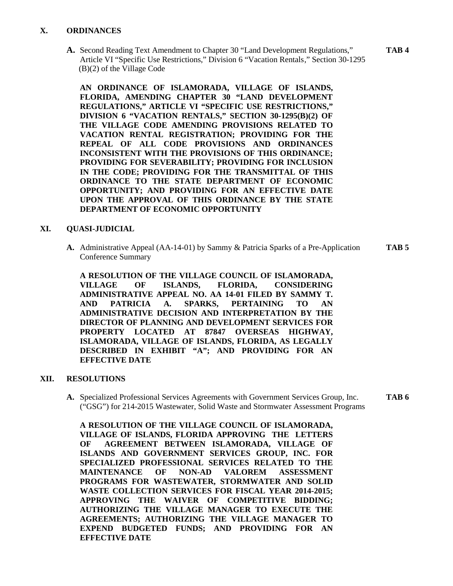## **X. ORDINANCES**

**A.** Second Reading Text Amendment to Chapter 30 "Land Development Regulations," **TAB 4** Article VI "Specific Use Restrictions," Division 6 "Vacation Rentals," Section 30-1295 (B)(2) of the Village Code

**AN ORDINANCE OF ISLAMORADA, VILLAGE OF ISLANDS, FLORIDA, AMENDING CHAPTER 30 "LAND DEVELOPMENT REGULATIONS," ARTICLE VI "SPECIFIC USE RESTRICTIONS," DIVISION 6 "VACATION RENTALS," SECTION 30-1295(B)(2) OF THE VILLAGE CODE AMENDING PROVISIONS RELATED TO VACATION RENTAL REGISTRATION; PROVIDING FOR THE REPEAL OF ALL CODE PROVISIONS AND ORDINANCES INCONSISTENT WITH THE PROVISIONS OF THIS ORDINANCE; PROVIDING FOR SEVERABILITY; PROVIDING FOR INCLUSION IN THE CODE; PROVIDING FOR THE TRANSMITTAL OF THIS ORDINANCE TO THE STATE DEPARTMENT OF ECONOMIC OPPORTUNITY; AND PROVIDING FOR AN EFFECTIVE DATE UPON THE APPROVAL OF THIS ORDINANCE BY THE STATE DEPARTMENT OF ECONOMIC OPPORTUNITY**

### **XI. QUASI-JUDICIAL**

**A.** Administrative Appeal (AA-14-01) by Sammy & Patricia Sparks of a Pre-Application **TAB 5** Conference Summary

**A RESOLUTION OF THE VILLAGE COUNCIL OF ISLAMORADA, VILLAGE OF ISLANDS, FLORIDA, CONSIDERING ADMINISTRATIVE APPEAL NO. AA 14-01 FILED BY SAMMY T. AND PATRICIA A. SPARKS, PERTAINING TO AN ADMINISTRATIVE DECISION AND INTERPRETATION BY THE DIRECTOR OF PLANNING AND DEVELOPMENT SERVICES FOR PROPERTY LOCATED AT 87847 OVERSEAS HIGHWAY, ISLAMORADA, VILLAGE OF ISLANDS, FLORIDA, AS LEGALLY DESCRIBED IN EXHIBIT "A"; AND PROVIDING FOR AN EFFECTIVE DATE**

### **XII. RESOLUTIONS**

**A.** Specialized Professional Services Agreements with Government Services Group, Inc. **TAB 6** ("GSG") for 214-2015 Wastewater, Solid Waste and Stormwater Assessment Programs

**A RESOLUTION OF THE VILLAGE COUNCIL OF ISLAMORADA, VILLAGE OF ISLANDS, FLORIDA APPROVING THE LETTERS OF AGREEMENT BETWEEN ISLAMORADA, VILLAGE OF ISLANDS AND GOVERNMENT SERVICES GROUP, INC. FOR SPECIALIZED PROFESSIONAL SERVICES RELATED TO THE MAINTENANCE OF NON-AD VALOREM ASSESSMENT PROGRAMS FOR WASTEWATER, STORMWATER AND SOLID WASTE COLLECTION SERVICES FOR FISCAL YEAR 2014-2015; APPROVING THE WAIVER OF COMPETITIVE BIDDING; AUTHORIZING THE VILLAGE MANAGER TO EXECUTE THE AGREEMENTS; AUTHORIZING THE VILLAGE MANAGER TO EXPEND BUDGETED FUNDS; AND PROVIDING FOR AN EFFECTIVE DATE**